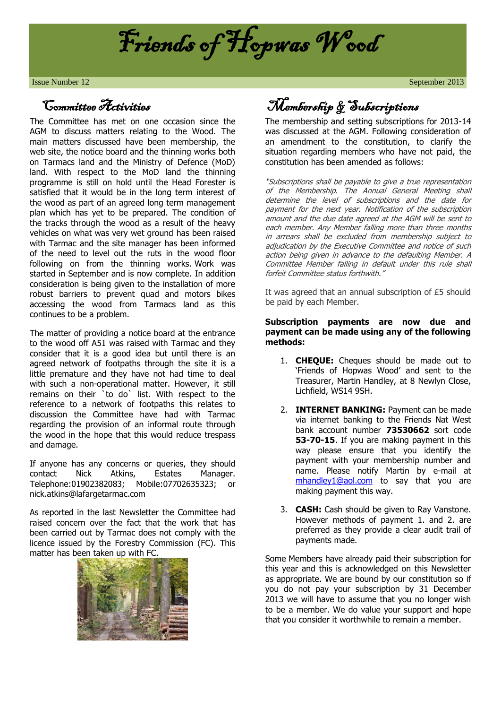

**Issue Number 12** September 2013

### Committee Activities

The Committee has met on one occasion since the AGM to discuss matters relating to the Wood. The main matters discussed have been membership, the web site, the notice board and the thinning works both on Tarmacs land and the Ministry of Defence (MoD) land. With respect to the MoD land the thinning programme is still on hold until the Head Forester is satisfied that it would be in the long term interest of the wood as part of an agreed long term management plan which has yet to be prepared. The condition of the tracks through the wood as a result of the heavy vehicles on what was very wet ground has been raised with Tarmac and the site manager has been informed of the need to level out the ruts in the wood floor following on from the thinning works. Work was started in September and is now complete. In addition consideration is being given to the installation of more robust barriers to prevent quad and motors bikes accessing the wood from Tarmacs land as this continues to be a problem.

The matter of providing a notice board at the entrance to the wood off A51 was raised with Tarmac and they consider that it is a good idea but until there is an agreed network of footpaths through the site it is a little premature and they have not had time to deal with such a non-operational matter. However, it still remains on their `to do` list. With respect to the reference to a network of footpaths this relates to discussion the Committee have had with Tarmac regarding the provision of an informal route through the wood in the hope that this would reduce trespass and damage.

If anyone has any concerns or queries, they should contact Nick Atkins, Estates Manager. Telephone:01902382083; Mobile:07702635323; or nick.atkins@lafargetarmac.com

As reported in the last Newsletter the Committee had raised concern over the fact that the work that has been carried out by Tarmac does not comply with the licence issued by the Forestry Commission (FC). This matter has been taken up with FC.



Membership & Subscriptions

The membership and setting subscriptions for 2013-14 was discussed at the AGM. Following consideration of an amendment to the constitution, to clarify the situation regarding members who have not paid, the constitution has been amended as follows:

"Subscriptions shall be payable to give a true representation of the Membership. The Annual General Meeting shall determine the level of subscriptions and the date for payment for the next year. Notification of the subscription amount and the due date agreed at the AGM will be sent to each member. Any Member falling more than three months in arrears shall be excluded from membership subject to adjudication by the Executive Committee and notice of such action being given in advance to the defaulting Member. A Committee Member falling in default under this rule shall forfeit Committee status forthwith."

It was agreed that an annual subscription of £5 should be paid by each Member.

#### **Subscription payments are now due and payment can be made using any of the following methods:**

- 1. **CHEQUE:** Cheques should be made out to 'Friends of Hopwas Wood' and sent to the Treasurer, Martin Handley, at 8 Newlyn Close, Lichfield, WS14 9SH.
- 2. **INTERNET BANKING:** Payment can be made via internet banking to the Friends Nat West bank account number **73530662** sort code **53-70-15**. If you are making payment in this way please ensure that you identify the payment with your membership number and name. Please notify Martin by e-mail at [mhandley1@aol.com](mailto:mhandley1@aol.com) to say that you are making payment this way.
- 3. **CASH:** Cash should be given to Ray Vanstone. However methods of payment 1. and 2. are preferred as they provide a clear audit trail of payments made.

Some Members have already paid their subscription for this year and this is acknowledged on this Newsletter as appropriate. We are bound by our constitution so if you do not pay your subscription by 31 December 2013 we will have to assume that you no longer wish to be a member. We do value your support and hope that you consider it worthwhile to remain a member.